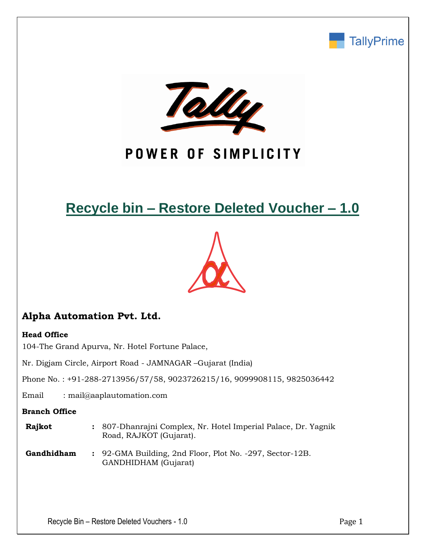



## POWER OF SIMPLICITY

## **Recycle bin – Restore Deleted Voucher – 1.0**



## **Alpha Automation Pvt. Ltd.**

#### **Head Office**

104-The Grand Apurva, Nr. Hotel Fortune Palace,

Nr. Digjam Circle, Airport Road - JAMNAGAR –Gujarat (India)

Phone No. : +91-288-2713956/57/58, 9023726215/16, 9099908115, 9825036442

Email : mail@aaplautomation.com

#### **Branch Office**

- **Rajkot :** 807-Dhanrajni Complex, Nr. Hotel Imperial Palace, Dr. Yagnik Road, RAJKOT (Gujarat).
- **Gandhidham :** 92-GMA Building, 2nd Floor, Plot No. -297, Sector-12B. GANDHIDHAM (Gujarat)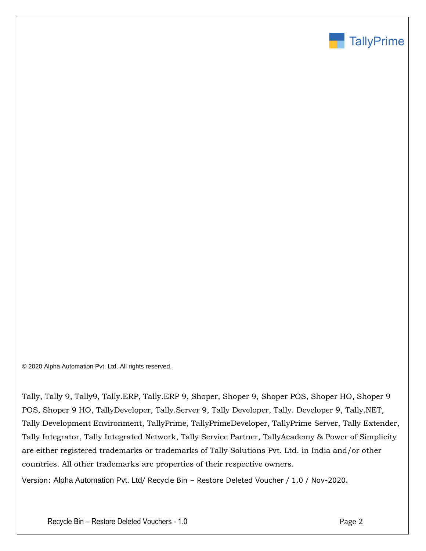

© 2020 Alpha Automation Pvt. Ltd. All rights reserved.

Tally, Tally 9, Tally9, Tally.ERP, Tally.ERP 9, Shoper, Shoper 9, Shoper POS, Shoper HO, Shoper 9 POS, Shoper 9 HO, TallyDeveloper, Tally.Server 9, Tally Developer, Tally. Developer 9, Tally.NET, Tally Development Environment, TallyPrime, TallyPrimeDeveloper, TallyPrime Server, Tally Extender, Tally Integrator, Tally Integrated Network, Tally Service Partner, TallyAcademy & Power of Simplicity are either registered trademarks or trademarks of Tally Solutions Pvt. Ltd. in India and/or other countries. All other trademarks are properties of their respective owners.

Version: Alpha Automation Pvt. Ltd/ Recycle Bin – Restore Deleted Voucher / 1.0 / Nov-2020.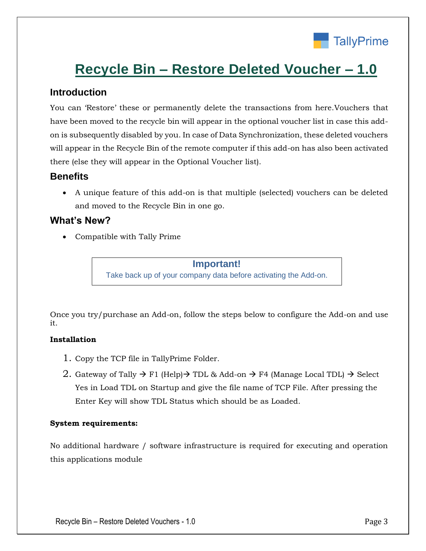

# **Recycle Bin – Restore Deleted Voucher – 1.0**

### **Introduction**

You can 'Restore' these or permanently delete the transactions from here.Vouchers that have been moved to the recycle bin will appear in the optional voucher list in case this addon is subsequently disabled by you. In case of Data Synchronization, these deleted vouchers will appear in the Recycle Bin of the remote computer if this add-on has also been activated there (else they will appear in the Optional Voucher list).

### **Benefits**

• A unique feature of this add-on is that multiple (selected) vouchers can be deleted and moved to the Recycle Bin in one go.

## **What's New?**

• Compatible with Tally Prime

#### **Important!**

Take back up of your company data before activating the Add-on.

Once you try/purchase an Add-on, follow the steps below to configure the Add-on and use it.

#### **Installation**

- 1. Copy the TCP file in TallyPrime Folder.
- 2. Gateway of Tally  $\rightarrow$  F1 (Help) $\rightarrow$  TDL & Add-on  $\rightarrow$  F4 (Manage Local TDL)  $\rightarrow$  Select Yes in Load TDL on Startup and give the file name of TCP File. After pressing the Enter Key will show TDL Status which should be as Loaded.

#### **System requirements:**

No additional hardware / software infrastructure is required for executing and operation this applications module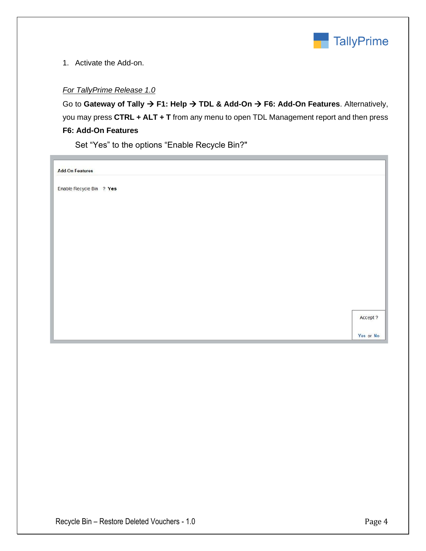

1. Activate the Add-on.

#### *For TallyPrime Release 1.0*

Go to **Gateway of Tally** → **F1: Help** → **TDL & Add-On** → **F6: Add-On Features**. Alternatively, you may press **CTRL + ALT + T** from any menu to open TDL Management report and then press **F6: Add-On Features**

Set "Yes" to the options "Enable Recycle Bin?"

**Add-On Features** 

Enable Recycle Bin ? Yes

Accept ?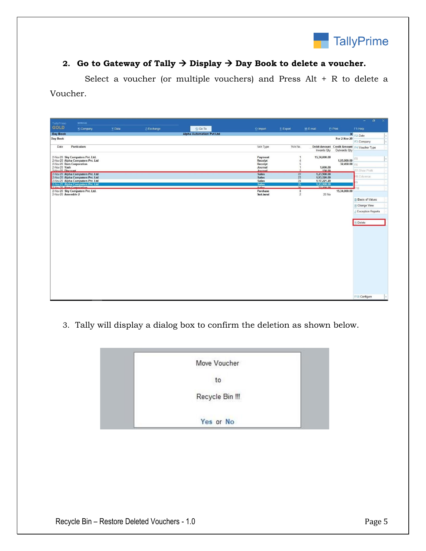

## 2. Go to Gateway of Tally  $\rightarrow$  Display  $\rightarrow$  Day Book to delete a voucher.

 Select a voucher (or multiple vouchers) and Press Alt + R to delete a Voucher.

| TallyPrime                         | MANAGE                                                                                                                                  |         |             |                                 |                                       |                           |                            |              | o.<br>$\times$<br>$-$                       |
|------------------------------------|-----------------------------------------------------------------------------------------------------------------------------------------|---------|-------------|---------------------------------|---------------------------------------|---------------------------|----------------------------|--------------|---------------------------------------------|
| <b>GOLD</b>                        | K: Company                                                                                                                              | Y: Data | Z: Exchange | G: Go To                        | O: Import                             | E: Export                 | M: E-mail                  | P: Print     | F1: Help                                    |
| Day Book                           |                                                                                                                                         |         |             | <b>Alpha Automation Pvt Ltd</b> |                                       |                           |                            |              | × F2: Date                                  |
| Day Book                           |                                                                                                                                         |         |             |                                 |                                       |                           |                            | For 2-Nov-20 | F3: Company                                 |
| Date                               | Particulars                                                                                                                             |         |             |                                 | Vch Type                              | Vch No.                   |                            |              | Debit Amount Credit Amount F4: Voucher Type |
|                                    |                                                                                                                                         |         |             |                                 |                                       |                           | Inwards Qty                | Outwards Qty |                                             |
|                                    | 2-Nov-20 Sky Computers Pvt. Ltd.<br>2-Nov-20 Alpha Computers Pvt. Ltd.                                                                  |         |             |                                 | Payment<br>Receipt                    |                           | 15,34,000.00               | 1,05,000.00  | F <sub>5</sub>                              |
| 2-Nov-20 Yash<br>2-Nov-20 Discount | 2-Nov-20 Ram Corporation                                                                                                                |         |             |                                 | Receipt<br>Journal                    |                           | 1,000.00<br>150.00         | 32,450.00 F6 | F7: Show Profit                             |
|                                    | 2-Nov-20 Alpha Computers Pvt. Ltd                                                                                                       |         |             |                                 | Journal<br><b>Sales</b>               | $\frac{22}{23}$           | 1,23,900.00                |              | 8: Columnar                                 |
|                                    | 2-Nov-20 Alpha Computers Pvt. Ltd<br>2-Nov-20 Alpha Computers Pvt. Ltd<br>2-Nov-20 Alpha Computers Pvt. Ltd<br>2-Nov-20 Ram Corporation |         |             |                                 | <b>Sales</b><br>Sales<br><b>Sales</b> | 24                        | 1,93,520.00<br>1,17,221.20 |              |                                             |
|                                    |                                                                                                                                         |         |             |                                 | <b>Salon</b>                          | $rac{25}{25}$             | 1,23,900.00                |              | 10                                          |
| 2-Nov-20 Assemble 2                | 2-Nov-20 Sky Computers Pvt. Ltd.                                                                                                        |         |             |                                 | Purchase<br>Stock Journal             | $\bf 8$<br>$\overline{2}$ | 20 No                      | 15,34,000.00 |                                             |
|                                    |                                                                                                                                         |         |             |                                 |                                       |                           |                            |              | <b>B: Basis of Values</b>                   |
|                                    |                                                                                                                                         |         |             |                                 |                                       |                           |                            |              | H: Change View                              |
|                                    |                                                                                                                                         |         |             |                                 |                                       |                           |                            |              | J: Exception Reports                        |
|                                    |                                                                                                                                         |         |             |                                 |                                       |                           |                            |              | R: Delete                                   |
|                                    |                                                                                                                                         |         |             |                                 |                                       |                           |                            |              |                                             |
|                                    |                                                                                                                                         |         |             |                                 |                                       |                           |                            |              |                                             |
|                                    |                                                                                                                                         |         |             |                                 |                                       |                           |                            |              |                                             |
|                                    |                                                                                                                                         |         |             |                                 |                                       |                           |                            |              |                                             |
|                                    |                                                                                                                                         |         |             |                                 |                                       |                           |                            |              |                                             |
|                                    |                                                                                                                                         |         |             |                                 |                                       |                           |                            |              |                                             |
|                                    |                                                                                                                                         |         |             |                                 |                                       |                           |                            |              |                                             |
|                                    |                                                                                                                                         |         |             |                                 |                                       |                           |                            |              |                                             |
|                                    |                                                                                                                                         |         |             |                                 |                                       |                           |                            |              |                                             |
|                                    |                                                                                                                                         |         |             |                                 |                                       |                           |                            |              |                                             |
|                                    |                                                                                                                                         |         |             |                                 |                                       |                           |                            |              | F12: Configure                              |

3. Tally will display a dialog box to confirm the deletion as shown below.

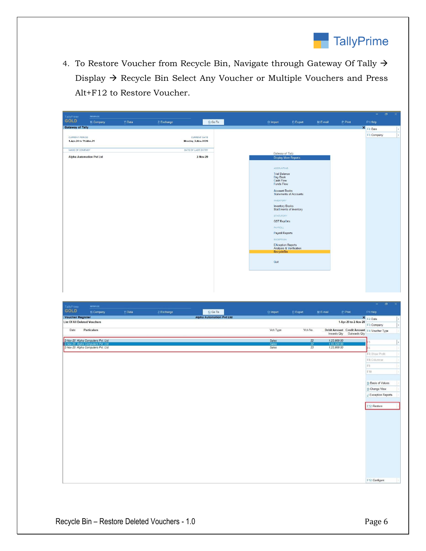

4. To Restore Voucher from Recycle Bin, Navigate through Gateway Of Tally  $\rightarrow$ Display → Recycle Bin Select Any Voucher or Multiple Vouchers and Press Alt+F12 to Restore Voucher.

| TallyPrime                              | MANAGE     |         |             |                                           |                                                                                                                                                                                                                                                            |                                                                                                                        |           |          | $\rightarrow$ | $\mathbb{R}$<br>$\sigma$ |
|-----------------------------------------|------------|---------|-------------|-------------------------------------------|------------------------------------------------------------------------------------------------------------------------------------------------------------------------------------------------------------------------------------------------------------|------------------------------------------------------------------------------------------------------------------------|-----------|----------|---------------|--------------------------|
| GOLD                                    | K: Company | Y: Data | Z: Exchange | $G:Go$ To                                 | O: Import                                                                                                                                                                                                                                                  | E: Export                                                                                                              | M: E-mail | P: Print | F1: Help      |                          |
| <b>Gateway of Tally</b>                 |            |         |             |                                           |                                                                                                                                                                                                                                                            |                                                                                                                        |           |          | × F2: Date    |                          |
| CURRENT PERIOD<br>1-Apr-20 to 31-Mar-21 |            |         |             | <b>CURRENT DATE</b><br>Monday, 2-Nov-2020 |                                                                                                                                                                                                                                                            |                                                                                                                        |           |          | F3: Company   | $\epsilon$               |
| NAME OF COMPANY                         |            |         |             | DATE OF LAST ENTRY                        |                                                                                                                                                                                                                                                            |                                                                                                                        |           |          |               |                          |
| <b>Alpha Automation Pvt Ltd</b>         |            |         |             | 2-Nov-20                                  | Gateway of Tally                                                                                                                                                                                                                                           | <b>Display More Reports</b>                                                                                            |           |          |               |                          |
|                                         |            |         |             |                                           | <b>ACCOUNTING</b><br><b>Trial Balance</b><br>Day Book<br>Cash Flow<br><b>Funds Flow</b><br><b>Account Books</b><br><b>INVENTORY</b><br><b>Inventory Books</b><br><b>STATUTORY</b><br><b>GST RepOrts</b><br>PAYROLL<br>Payroll Reports<br>EXCEPTION<br>Quit | <b>Statements of Accounts</b><br>StatEments of Inventory<br>EXception Reports<br>Analysis & Verification<br>RecycleBin |           |          |               |                          |

| TallyPrime                                                 | MANAGE                                                                                                         |         |             |          |                |                 |                                                                            | $\overline{\mathbf{x}}$<br>$\sigma$<br>$\equiv$ |
|------------------------------------------------------------|----------------------------------------------------------------------------------------------------------------|---------|-------------|----------|----------------|-----------------|----------------------------------------------------------------------------|-------------------------------------------------|
| <b>GOLD</b>                                                | K: Company                                                                                                     | Y: Data | Z: Exchange | G: Go To | O: Import      | E: Export       | M: E-mail<br>P: Print                                                      | F1: Help                                        |
| <b>Voucher Register</b><br><b>Alpha Automation Pvt Ltd</b> |                                                                                                                |         |             |          |                |                 |                                                                            | × F2:Date<br>$\epsilon$                         |
| <b>List Of All Deleted Vouchers</b>                        |                                                                                                                |         |             |          |                |                 | 1-Apr-20 to 2-Nov-20                                                       | F3: Company<br>$\epsilon$                       |
| Date                                                       | Particulars                                                                                                    |         |             |          | Vch Type       | Vch No.         | Debit Amount Credit Amount F4: Voucher Type<br>Outwards Qty<br>Inwards Qty |                                                 |
|                                                            |                                                                                                                |         |             |          | Sales          | 22              | 1,23,900.00                                                                | $\epsilon$                                      |
|                                                            | 2-Nov-20 Alpha Computers Pvt. Ltd.<br>2-Nov-20 Alpha Computers Pvt. Ltd.<br>2-Nov-20 Alpha Computers Pvt. Ltd. |         |             |          | Sales<br>Sales | $\frac{22}{23}$ | 1,93,520.00                                                                | $-6$                                            |
|                                                            |                                                                                                                |         |             |          |                |                 |                                                                            | F7: Show Profit                                 |
|                                                            |                                                                                                                |         |             |          |                |                 |                                                                            | F8: Columnar                                    |
|                                                            |                                                                                                                |         |             |          |                |                 |                                                                            | F9                                              |
|                                                            |                                                                                                                |         |             |          |                |                 |                                                                            | F10                                             |
|                                                            |                                                                                                                |         |             |          |                |                 |                                                                            |                                                 |
|                                                            |                                                                                                                |         |             |          |                |                 |                                                                            | <b>B: Basis of Values</b>                       |
|                                                            |                                                                                                                |         |             |          |                |                 |                                                                            | H: Change View                                  |
|                                                            |                                                                                                                |         |             |          |                |                 |                                                                            | J: Exception Reports                            |
|                                                            |                                                                                                                |         |             |          |                |                 |                                                                            | F12: Restore                                    |
|                                                            |                                                                                                                |         |             |          |                |                 |                                                                            |                                                 |
|                                                            |                                                                                                                |         |             |          |                |                 |                                                                            |                                                 |
|                                                            |                                                                                                                |         |             |          |                |                 |                                                                            |                                                 |
|                                                            |                                                                                                                |         |             |          |                |                 |                                                                            |                                                 |
|                                                            |                                                                                                                |         |             |          |                |                 |                                                                            |                                                 |
|                                                            |                                                                                                                |         |             |          |                |                 |                                                                            |                                                 |
|                                                            |                                                                                                                |         |             |          |                |                 |                                                                            |                                                 |
|                                                            |                                                                                                                |         |             |          |                |                 |                                                                            |                                                 |
|                                                            |                                                                                                                |         |             |          |                |                 |                                                                            |                                                 |
|                                                            |                                                                                                                |         |             |          |                |                 |                                                                            |                                                 |
|                                                            |                                                                                                                |         |             |          |                |                 |                                                                            |                                                 |
|                                                            |                                                                                                                |         |             |          |                |                 |                                                                            | F12: Configure                                  |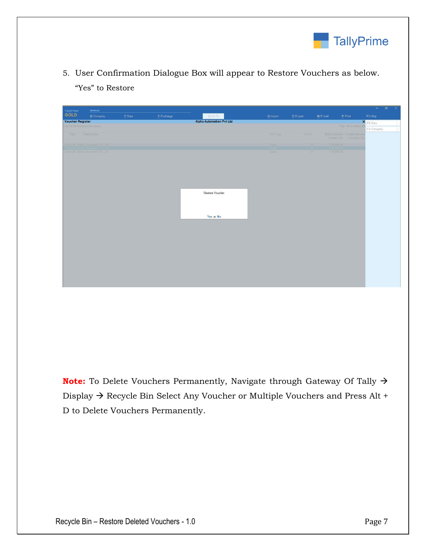

5. User Confirmation Dialogue Box will appear to Restore Vouchers as below. "Yes" to Restore

| TallyPrime                   | MANAGE                            |         |             |                                 |             |           |               |                                                        | $  \alpha$ $\times$ |
|------------------------------|-----------------------------------|---------|-------------|---------------------------------|-------------|-----------|---------------|--------------------------------------------------------|---------------------|
| GOLD                         | K: Company                        | Y: Data | Z: Exchange | G: Go To                        | $Q:$ Import | E: Export | $M: E$ -mail  | P:Print                                                | F1: Help            |
| <b>Voucher Register</b>      |                                   |         |             | <b>Alpha Automation Pvt Ltd</b> |             |           |               |                                                        | × F2: Date          |
| List Of All Deleted Vouchers |                                   |         |             |                                 |             |           |               | 1-Apr-20 to 2-Nov-20                                   | F3: Company         |
| Date                         | Particulars                       |         |             |                                 | Vch Type    | Vch No.   |               | Debit Amount Credit Amount<br>Inwards Qty Outwards Qty |                     |
|                              | 2-Nov-20 Alpha Computers Pvt. Ltd |         |             |                                 | Sales:      | 22        | 1,23,900.00   |                                                        |                     |
|                              | 2-Nov-20 Alpha Computers Pvt. Ltd |         |             |                                 | Sales       | 23        | 1, 23, 900.00 |                                                        |                     |
|                              |                                   |         |             | Restore Voucher<br>Yes or No    |             |           |               |                                                        |                     |

**Note:** To Delete Vouchers Permanently, Navigate through Gateway Of Tally → Display → Recycle Bin Select Any Voucher or Multiple Vouchers and Press Alt + D to Delete Vouchers Permanently.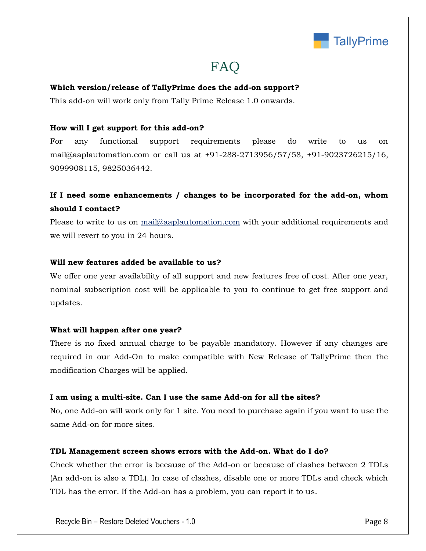

## FAQ

#### **Which version/release of TallyPrime does the add-on support?**

This add-on will work only from Tally Prime Release 1.0 onwards.

#### **How will I get support for this add-on?**

For any functional support requirements please do write to us on mail@aaplautomation.com or call us at +91-288-2713956/57/58, +91-9023726215/16, 9099908115, 9825036442.

## **If I need some enhancements / changes to be incorporated for the add-on, whom should I contact?**

Please to write to us on mail@aaplautomation.com with your additional requirements and we will revert to you in 24 hours.

#### **Will new features added be available to us?**

We offer one year availability of all support and new features free of cost. After one year, nominal subscription cost will be applicable to you to continue to get free support and updates.

#### **What will happen after one year?**

There is no fixed annual charge to be payable mandatory. However if any changes are required in our Add-On to make compatible with New Release of TallyPrime then the modification Charges will be applied.

#### **I am using a multi-site. Can I use the same Add-on for all the sites?**

No, one Add-on will work only for 1 site. You need to purchase again if you want to use the same Add-on for more sites.

#### **TDL Management screen shows errors with the Add-on. What do I do?**

Check whether the error is because of the Add-on or because of clashes between 2 TDLs (An add-on is also a TDL). In case of clashes, disable one or more TDLs and check which TDL has the error. If the Add-on has a problem, you can report it to us.